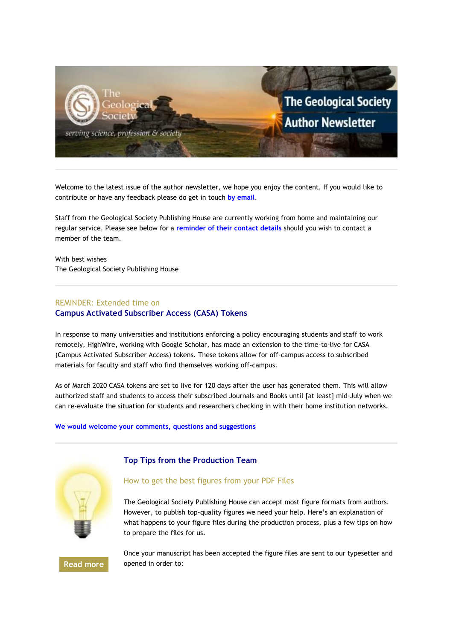

Welcome to the latest issue of the author newsletter, we hope you enjoy the content. If you would like to contribute or have any feedback please do get in touch **[by email](mailto:marketing@geolsoc.org.uk?subject=Author%20Newsletter)**.

Staff from the Geological Society Publishing House are currently working from home and maintaining our regular service. Please see below for a **[reminder of their contact details](#page-3-0)** should you wish to contact a member of the team.

With best wishes The Geological Society Publishing House

## REMINDER: Extended time on

### **Campus Activated Subscriber Access (CASA) Tokens**

In response to many universities and institutions enforcing a policy encouraging students and staff to work remotely, HighWire, working with Google Scholar, has made an extension to the time-to-live for CASA (Campus Activated Subscriber Access) tokens. These tokens allow for off-campus access to subscribed materials for faculty and staff who find themselves working off-campus.

As of March 2020 CASA tokens are set to live for 120 days after the user has generated them. This will allow authorized staff and students to access their subscribed Journals and Books until [at least] mid-July when we can re-evaluate the situation for students and researchers checking in with their home institution networks.

#### **[We would welcome your comments, questions and suggestions](mailto:hello@geolsoc.org.uk?subject=CASA%20Tokens)**



## **Top Tips from the Production Team**

# How to get the best figures from your PDF Files

The Geological Society Publishing House can accept most figure formats from authors. However, to publish top-quality figures we need your help. Here's an explanation of what happens to your figure files during the production process, plus a few tips on how to prepare the files for us.

**[Read more](https://eur01.safelinks.protection.outlook.com/?url=http%3A%2F%2Fgeologicalsociety.msgfocus.com%2Fc%2F14uQ0za0gf0Fk8plzHi3&data=02%7C01%7Cphilippa.badman%40geolsoc.org.uk%7C6a25191747ce42cf036308d83882489d%7C8793af0570194bd4bcbe1895301e92f9%7C0%7C0%7C637321479499906946&sdata=d8%2FG7XCR2y%2B4%2FmNxvKgoOWwJpyiDpgrOdNtDO%2BKT6zY%3D&reserved=0)**

Once your manuscript has been accepted the figure files are sent to our typesetter and opened in order to: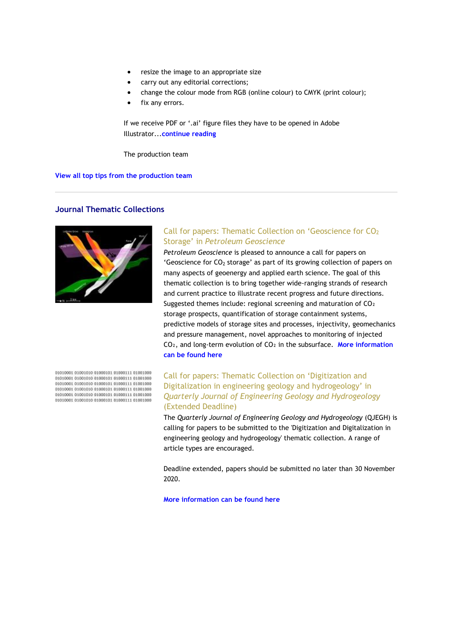- resize the image to an appropriate size
- carry out any editorial corrections;
- change the colour mode from RGB (online colour) to CMYK (print colour);
- fix any errors.

If we receive PDF or '.ai' figure files they have to be opened in Adobe Illustrator...**[continue reading](https://eur01.safelinks.protection.outlook.com/?url=http%3A%2F%2Fgeologicalsociety.msgfocus.com%2Fc%2F14uQ27gf1j0EeSO9O8Ta&data=02%7C01%7Cphilippa.badman%40geolsoc.org.uk%7C6a25191747ce42cf036308d83882489d%7C8793af0570194bd4bcbe1895301e92f9%7C0%7C0%7C637321479499916936&sdata=urSk31L68esrgIY1tVC%2BISs2tJapnJAdF1KxsrkPc9A%3D&reserved=0)**

The production team

**[View all top tips from the production team](https://eur01.safelinks.protection.outlook.com/?url=http%3A%2F%2Fgeologicalsociety.msgfocus.com%2Fc%2F14uQ3FmtMn0D9DcY2Auh&data=02%7C01%7Cphilippa.badman%40geolsoc.org.uk%7C6a25191747ce42cf036308d83882489d%7C8793af0570194bd4bcbe1895301e92f9%7C0%7C0%7C637321479499916936&sdata=EuS6qmPKodF8wOfeWNQx8fxBUxoAY8VvIMnBSmIFRG8%3D&reserved=0)**

## **Journal Thematic Collections**



# Call for papers: Thematic Collection on 'Geoscience for CO<sup>2</sup> Storage' in *Petroleum Geoscience*

*Petroleum Geoscience* is pleased to announce a call for papers on 'Geoscience for  $CO<sub>2</sub>$  storage' as part of its growing collection of papers on many aspects of geoenergy and applied earth science. The goal of this thematic collection is to bring together wide-ranging strands of research and current practice to illustrate recent progress and future directions. Suggested themes include: regional screening and maturation of CO2 storage prospects, quantification of storage containment systems, predictive models of storage sites and processes, injectivity, geomechanics and pressure management, novel approaches to monitoring of injected CO₂, and long-term evolution of CO₂ in the subsurface. **[More information](https://eur01.safelinks.protection.outlook.com/?url=http%3A%2F%2Fgeologicalsociety.msgfocus.com%2Fc%2F14uQ6LyXiv0AZ80AvtGv&data=02%7C01%7Cphilippa.badman%40geolsoc.org.uk%7C6a25191747ce42cf036308d83882489d%7C8793af0570194bd4bcbe1895301e92f9%7C0%7C0%7C637321479499926940&sdata=kiU0jGCT%2BbNyF%2Bk0oRfwtYiIrG%2BRp5Wbf0nRb5AAQgU%3D&reserved=0)  [can be found here](https://eur01.safelinks.protection.outlook.com/?url=http%3A%2F%2Fgeologicalsociety.msgfocus.com%2Fc%2F14uQ6LyXiv0AZ80AvtGv&data=02%7C01%7Cphilippa.badman%40geolsoc.org.uk%7C6a25191747ce42cf036308d83882489d%7C8793af0570194bd4bcbe1895301e92f9%7C0%7C0%7C637321479499926940&sdata=kiU0jGCT%2BbNyF%2Bk0oRfwtYiIrG%2BRp5Wbf0nRb5AAQgU%3D&reserved=0)**

# Call for papers: Thematic Collection on 'Digitization and Digitalization in engineering geology and hydrogeology' in *Quarterly Journal of Engineering Geology and Hydrogeology*  (Extended Deadline)

The *Quarterly Journal of Engineering Geology and Hydrogeology* (QJEGH) is calling for papers to be submitted to the 'Digitization and Digitalization in engineering geology and hydrogeology' thematic collection. A range of article types are encouraged.

Deadline extended, papers should be submitted no later than 30 November 2020.

**[More information can be found here](https://eur01.safelinks.protection.outlook.com/?url=http%3A%2F%2Fgeologicalsociety.msgfocus.com%2Fc%2F14uQ9RLqOD0yOCOcYmSJ&data=02%7C01%7Cphilippa.badman%40geolsoc.org.uk%7C6a25191747ce42cf036308d83882489d%7C8793af0570194bd4bcbe1895301e92f9%7C0%7C0%7C637321479499936929&sdata=g5N6AnX4h%2BqWgS1C5e93%2B%2BWnub2xdk78sQzYOYIdKmY%3D&reserved=0)**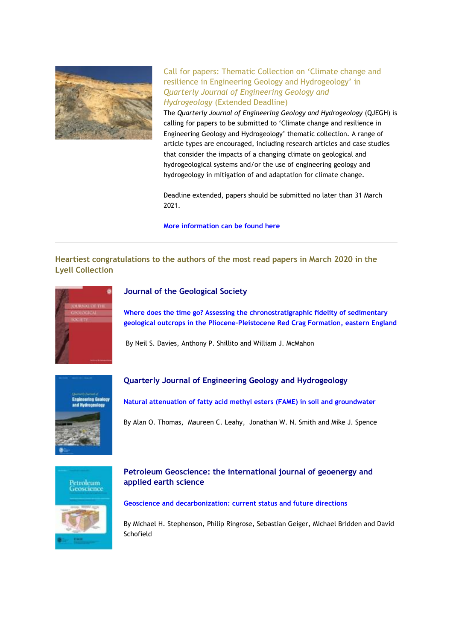

Call for papers: Thematic Collection on 'Climate change and resilience in Engineering Geology and Hydrogeology' in *Quarterly Journal of Engineering Geology and Hydrogeology* (Extended Deadline)

The *Quarterly Journal of Engineering Geology and Hydrogeology* (QJEGH) is calling for papers to be submitted to 'Climate change and resilience in Engineering Geology and Hydrogeology' thematic collection. A range of article types are encouraged, including research articles and case studies that consider the impacts of a changing climate on geological and hydrogeological systems and/or the use of engineering geology and hydrogeology in mitigation of and adaptation for climate change.

Deadline extended, papers should be submitted no later than 31 March 2021.

**[More information can be found here](https://eur01.safelinks.protection.outlook.com/?url=http%3A%2F%2Fgeologicalsociety.msgfocus.com%2Fc%2F14uQcXXUkL0wE7BPrg4X&data=02%7C01%7Cphilippa.badman%40geolsoc.org.uk%7C6a25191747ce42cf036308d83882489d%7C8793af0570194bd4bcbe1895301e92f9%7C0%7C0%7C637321479499946926&sdata=QtqKTqhF1Nd6TLVR9M1NDoSCuFRhtaByDTS24JElUVU%3D&reserved=0)**

# **Heartiest congratulations to the authors of the most read papers in March 2020 in the Lyell Collection**



## **Journal of the Geological Society**

**[Where does the time go? Assessing the chronostratigraphic fidelity of sedimentary](https://eur01.safelinks.protection.outlook.com/?url=http%3A%2F%2Fgeologicalsociety.msgfocus.com%2Fc%2F14uQhCgCBX0tomOg8ASi&data=02%7C01%7Cphilippa.badman%40geolsoc.org.uk%7C6a25191747ce42cf036308d83882489d%7C8793af0570194bd4bcbe1895301e92f9%7C0%7C0%7C637321479499946926&sdata=0HDk%2BD0iSsdyIhKSmdzNMM9BpBFCNWpF5cAGcXqbRUU%3D&reserved=0)  geological outcrops in the Pliocene–[Pleistocene Red Crag Formation, eastern England](https://eur01.safelinks.protection.outlook.com/?url=http%3A%2F%2Fgeologicalsociety.msgfocus.com%2Fc%2F14uQhCgCBX0tomOg8ASi&data=02%7C01%7Cphilippa.badman%40geolsoc.org.uk%7C6a25191747ce42cf036308d83882489d%7C8793af0570194bd4bcbe1895301e92f9%7C0%7C0%7C637321479499946926&sdata=0HDk%2BD0iSsdyIhKSmdzNMM9BpBFCNWpF5cAGcXqbRUU%3D&reserved=0)**

By Neil S. Davies, Anthony P. Shillito and William J. McMahon



## **Quarterly Journal of Engineering Geology and Hydrogeology**

**[Natural attenuation of fatty acid methyl esters \(FAME\) in soil and groundwater](https://eur01.safelinks.protection.outlook.com/?url=http%3A%2F%2Fgeologicalsociety.msgfocus.com%2Fc%2F14uQkIt6850rdRBSBu4w&data=02%7C01%7Cphilippa.badman%40geolsoc.org.uk%7C6a25191747ce42cf036308d83882489d%7C8793af0570194bd4bcbe1895301e92f9%7C0%7C0%7C637321479499956915&sdata=9VfseSWMBGFeD%2FEhbSO69uWRcTe1sYKBOHGT7a7hoHA%3D&reserved=0)**

By Alan O. Thomas, Maureen C. Leahy, Jonathan W. N. Smith and Mike J. Spence



# **Petroleum Geoscience: the international journal of geoenergy and applied earth science**

#### **[Geoscience and decarbonization: current status and future directions](https://eur01.safelinks.protection.outlook.com/?url=http%3A%2F%2Fgeologicalsociety.msgfocus.com%2Fc%2F14uQnOFzEd0p3mpv4ngK&data=02%7C01%7Cphilippa.badman%40geolsoc.org.uk%7C6a25191747ce42cf036308d83882489d%7C8793af0570194bd4bcbe1895301e92f9%7C0%7C0%7C637321479499966908&sdata=DaoHWGn1hmOqHd7oqM801jApDiZhNsiJxjocHkS030o%3D&reserved=0)**

By Michael H. Stephenson, Philip Ringrose, Sebastian Geiger, Michael Bridden and David Schofield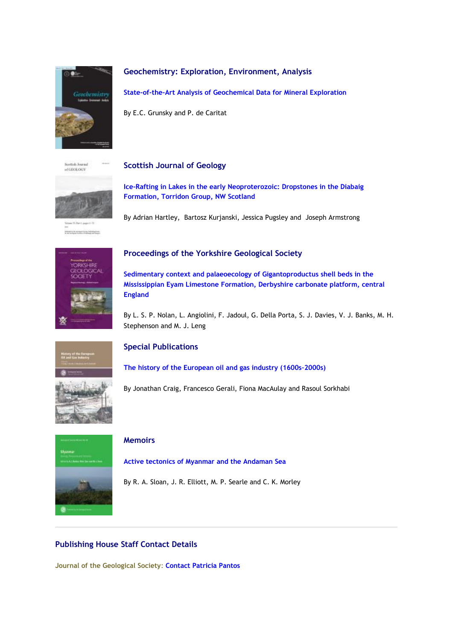

# **Geochemistry: Exploration, Environment, Analysis**

**[State-of-the-Art Analysis of Geochemical Data for Mineral Exploration](https://eur01.safelinks.protection.outlook.com/?url=http%3A%2F%2Fgeologicalsociety.msgfocus.com%2Fc%2F14uQqUS3al0mSRd7xgsY&data=02%7C01%7Cphilippa.badman%40geolsoc.org.uk%7C6a25191747ce42cf036308d83882489d%7C8793af0570194bd4bcbe1895301e92f9%7C0%7C0%7C637321479499976904&sdata=5SJBfnEmOKTegU2Eym%2FrGBgClD%2BzT85eGEJlcioq%2FQE%3D&reserved=0)**

By E.C. Grunsky and P. de Caritat

**Soutish Journal** of GEOLOGY

## **Scottish Journal of Geology**



**Primarily in remain forms followances** 

# **[Ice-Rafting in Lakes in the early Neoproterozoic: Dropstones in the Diabaig](https://eur01.safelinks.protection.outlook.com/?url=http%3A%2F%2Fgeologicalsociety.msgfocus.com%2Fc%2F14uQu14wGt0kIm0K09Fc&data=02%7C01%7Cphilippa.badman%40geolsoc.org.uk%7C6a25191747ce42cf036308d83882489d%7C8793af0570194bd4bcbe1895301e92f9%7C0%7C0%7C637321479499986901&sdata=f8fVUyOfxeVQ5rxvN%2BaASmb8YohfiTKlqE4ZCZpHxYE%3D&reserved=0)  [Formation, Torridon Group, NW Scotland](https://eur01.safelinks.protection.outlook.com/?url=http%3A%2F%2Fgeologicalsociety.msgfocus.com%2Fc%2F14uQu14wGt0kIm0K09Fc&data=02%7C01%7Cphilippa.badman%40geolsoc.org.uk%7C6a25191747ce42cf036308d83882489d%7C8793af0570194bd4bcbe1895301e92f9%7C0%7C0%7C637321479499986901&sdata=f8fVUyOfxeVQ5rxvN%2BaASmb8YohfiTKlqE4ZCZpHxYE%3D&reserved=0)**

By Adrian Hartley, Bartosz Kurjanski, Jessica Pugsley and Joseph Armstrong



# **Proceedings of the Yorkshire Geological Society**

**[Sedimentary context and palaeoecology of Gigantoproductus shell beds in the](https://eur01.safelinks.protection.outlook.com/?url=http%3A%2F%2Fgeologicalsociety.msgfocus.com%2Fc%2F14uQyFneXF0hsBdaHusx&data=02%7C01%7Cphilippa.badman%40geolsoc.org.uk%7C6a25191747ce42cf036308d83882489d%7C8793af0570194bd4bcbe1895301e92f9%7C0%7C0%7C637321479499996899&sdata=9NHnk27JSPhcq24ojH0SARIfyTw0zWVGMdS9BcUSFLg%3D&reserved=0)  [Mississippian Eyam Limestone Formation, Derbyshire carbonate platform, central](https://eur01.safelinks.protection.outlook.com/?url=http%3A%2F%2Fgeologicalsociety.msgfocus.com%2Fc%2F14uQyFneXF0hsBdaHusx&data=02%7C01%7Cphilippa.badman%40geolsoc.org.uk%7C6a25191747ce42cf036308d83882489d%7C8793af0570194bd4bcbe1895301e92f9%7C0%7C0%7C637321479499996899&sdata=9NHnk27JSPhcq24ojH0SARIfyTw0zWVGMdS9BcUSFLg%3D&reserved=0)  [England](https://eur01.safelinks.protection.outlook.com/?url=http%3A%2F%2Fgeologicalsociety.msgfocus.com%2Fc%2F14uQyFneXF0hsBdaHusx&data=02%7C01%7Cphilippa.badman%40geolsoc.org.uk%7C6a25191747ce42cf036308d83882489d%7C8793af0570194bd4bcbe1895301e92f9%7C0%7C0%7C637321479499996899&sdata=9NHnk27JSPhcq24ojH0SARIfyTw0zWVGMdS9BcUSFLg%3D&reserved=0)**

By L. S. P. Nolan, L. Angiolini, F. Jadoul, G. Della Porta, S. J. Davies, V. J. Banks, M. H. Stephenson and M. J. Leng



# **Special Publications**

**[The history of the European oil and gas industry \(1600s](https://eur01.safelinks.protection.outlook.com/?url=http%3A%2F%2Fgeologicalsociety.msgfocus.com%2Fc%2F14uQBLzItN0fi60NanEL&data=02%7C01%7Cphilippa.badman%40geolsoc.org.uk%7C6a25191747ce42cf036308d83882489d%7C8793af0570194bd4bcbe1895301e92f9%7C0%7C0%7C637321479500006888&sdata=PWnMeIeaMR3B2JnHBvE8U4kfsgHw7WAr8HSCZ6nv0Po%3D&reserved=0)–2000s)**

By Jonathan Craig, Francesco Gerali, Fiona MacAulay and Rasoul Sorkhabi



## **Memoirs**

**[Active tectonics of Myanmar and the Andaman Sea](https://eur01.safelinks.protection.outlook.com/?url=http%3A%2F%2Fgeologicalsociety.msgfocus.com%2Fc%2F14uQERMbZV0d7AOpDgQZ&data=02%7C01%7Cphilippa.badman%40geolsoc.org.uk%7C6a25191747ce42cf036308d83882489d%7C8793af0570194bd4bcbe1895301e92f9%7C0%7C0%7C637321479500016876&sdata=DQMk1pccGGvoGtSMwSWFwfLcFken1ofi3ccbDBNCOsQ%3D&reserved=0)**

<span id="page-3-0"></span>By R. A. Sloan, J. R. Elliott, M. P. Searle and C. K. Morley

# **Publishing House Staff Contact Details**

**Journal of the Geological Society**: **[Contact Patricia Pantos](mailto:jgs@geolsoc.org.uk)**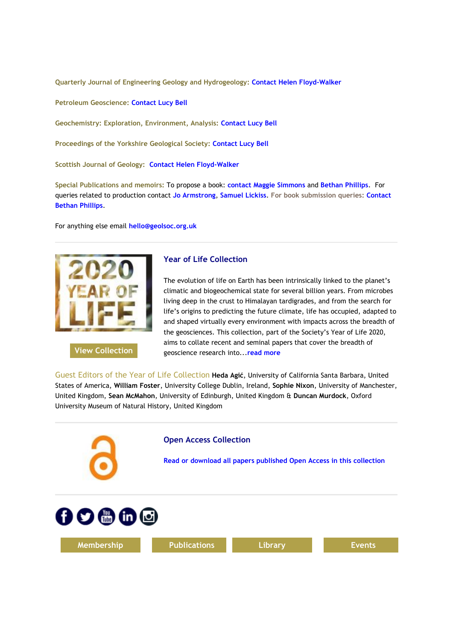**Quarterly Journal of Engineering Geology and Hydrogeology[:](https://eur01.safelinks.protection.outlook.com/?url=http%3A%2F%2Fgeologicalsociety.msgfocus.com%2Fc%2F14uQGpSqKZ0c2lddRIs6&data=02%7C01%7Cphilippa.badman%40geolsoc.org.uk%7C6a25191747ce42cf036308d83882489d%7C8793af0570194bd4bcbe1895301e92f9%7C0%7C0%7C637321479500016876&sdata=K0FdrC8PCbRbU5aSx7scmwa2i0Rybl8cOnBHQx7F01U%3D&reserved=0) [Contact Helen Floyd-Walker](https://eur01.safelinks.protection.outlook.com/?url=http%3A%2F%2Fgeologicalsociety.msgfocus.com%2Fc%2F14uQGpSqKZ0c2lddRIs6&data=02%7C01%7Cphilippa.badman%40geolsoc.org.uk%7C6a25191747ce42cf036308d83882489d%7C8793af0570194bd4bcbe1895301e92f9%7C0%7C0%7C637321479500016876&sdata=K0FdrC8PCbRbU5aSx7scmwa2i0Rybl8cOnBHQx7F01U%3D&reserved=0)**

**Petroleum Geoscience: [Contact Lucy Bell](mailto:pg@geolsoc.org.uk)**

**Geochemistry: Exploration, Environment, Analysis: [Contact Lucy Bell](mailto:geea@geolsoc.org.uk)**

**Proceedings of the Yorkshire Geological Society: [Contact Lucy Bell](mailto:pygs@geolsoc.org.uk)**

**Scottish Journal of Geology: [Contact Helen Floyd-Walker](mailto:qjegh@geolsoc.org)**

**Special Publications and memoirs:** To propose a book: **[contact Maggie Simmons](mailto:maggie.simmons@geolsoc.org.uk)** and **[Bethan Phillips](mailto:bethan.phillips@geolsoc.org.uk)**. For queries related to production contact **[Jo Armstrong](mailto:jo.armstrong@geolsoc.org.uk)**, **[Samuel Lickiss](mailto:samuel.lickiss@geolsoc.org.uk)**. **For book submission queries: [Contact](mailto:EditorialOffice@geolsoc.org.uk)  [Bethan Phillips](mailto:bethan.phillips@geolsoc.org.uk)**.

For anything else email **[hello@geolsoc.org.uk](mailto:hello@geolsoc.org.uk)**



## **[View Collection](https://eur01.safelinks.protection.outlook.com/?url=http%3A%2F%2Fgeologicalsociety.msgfocus.com%2Fc%2F14uQJw4Uh709RQ0QkBEk&data=02%7C01%7Cphilippa.badman%40geolsoc.org.uk%7C6a25191747ce42cf036308d83882489d%7C8793af0570194bd4bcbe1895301e92f9%7C0%7C0%7C637321479500026874&sdata=g9SPby%2BZqFTT1KhO8KvqPH5ZT5GHas%2FablMFkbQn1W4%3D&reserved=0)**

## **Year of Life Collection**

The evolution of life on Earth has been intrinsically linked to the planet's climatic and biogeochemical state for several billion years. From microbes living deep in the crust to Himalayan tardigrades, and from the search for life's origins to predicting the future climate, life has occupied, adapted to and shaped virtually every environment with impacts across the breadth of the geosciences. This collection, part of the Society's Year of Life 2020, aims to collate recent and seminal papers that cover the breadth of geoscience research into...**[read more](https://eur01.safelinks.protection.outlook.com/?url=http%3A%2F%2Fgeologicalsociety.msgfocus.com%2Fc%2F14uQL4b92b08MApEz3fr&data=02%7C01%7Cphilippa.badman%40geolsoc.org.uk%7C6a25191747ce42cf036308d83882489d%7C8793af0570194bd4bcbe1895301e92f9%7C0%7C0%7C637321479500036874&sdata=ZrhHJidVZqBR9hMg9xJRH14q2cgueznIBG%2BYLNSN0Zs%3D&reserved=0)**

Guest Editors of the Year of Life Collection **Heda Agić**, University of California Santa Barbara, United States of America, **William Foster**, University College Dublin, Ireland, **Sophie Nixon**, University of Manchester, United Kingdom, **Sean McMahon**, University of Edinburgh, United Kingdom & **Duncan Murdock**, Oxford University Museum of Natural History, United Kingdom